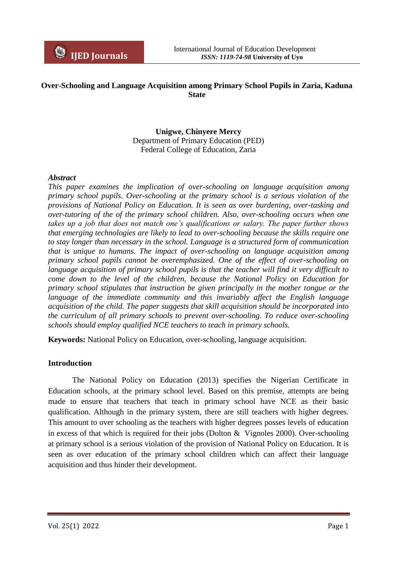

# **Over-Schooling and Language Acquisition among Primary School Pupils in Zaria, Kaduna State**

## **Unigwe, Chinyere Mercy** Department of Primary Education (PED) Federal College of Education, Zaria

## *Abstract*

*This paper examines the implication of over-schooling on language acquisition among primary school pupils. Over-schooling at the primary school is a serious violation of the provisions of National Policy on Education. It is seen as over burdening, over-tasking and over-tutoring of the of the primary school children. Also, over-schooling occurs when one takes up a job that does not match one's qualifications or salary. The paper further shows that emerging technologies are likely to lead to over-schooling because the skills require one to stay longer than necessary in the school. Language is a structured form of communication that is unique to humans. The impact of over-schooling on language acquisition among primary school pupils cannot be overemphasized. One of the effect of over-schooling on language acquisition of primary school pupils is that the teacher will find it very difficult to come down to the level of the children, because the National Policy on Education for primary school stipulates that instruction be given principally in the mother tongue or the language of the immediate community and this invariably affect the English language acquisition of the child. The paper suggests that skill acquisition should be incorporated into the curriculum of all primary schools to prevent over-schooling. To reduce over-schooling schools should employ qualified NCE teachers to teach in primary schools.*

**Keywords:** National Policy on Education, over-schooling, language acquisition.

## **Introduction**

The National Policy on Education (2013) specifies the Nigerian Certificate in Education schools, at the primary school level. Based on this premise, attempts are being made to ensure that teachers that teach in primary school have NCE as their basic qualification. Although in the primary system, there are still teachers with higher degrees. This amount to over schooling as the teachers with higher degrees posses levels of education in excess of that which is required for their jobs (Dolton & Vignoles 2000). Over-schooling at primary school is a serious violation of the provision of National Policy on Education. It is seen as over education of the primary school children which can affect their language acquisition and thus hinder their development.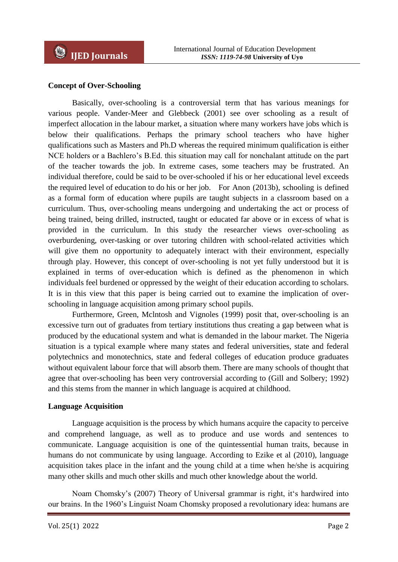# **Concept of Over-Schooling**

Basically, over-schooling is a controversial term that has various meanings for various people. Vander-Meer and Glebbeck (2001) see over schooling as a result of imperfect allocation in the labour market, a situation where many workers have jobs which is below their qualifications. Perhaps the primary school teachers who have higher qualifications such as Masters and Ph.D whereas the required minimum qualification is either NCE holders or a Bachlero"s B.Ed. this situation may call for nonchalant attitude on the part of the teacher towards the job. In extreme cases, some teachers may be frustrated. An individual therefore, could be said to be over-schooled if his or her educational level exceeds the required level of education to do his or her job. For Anon (2013b), schooling is defined as a formal form of education where pupils are taught subjects in a classroom based on a curriculum. Thus, over-schooling means undergoing and undertaking the act or process of being trained, being drilled, instructed, taught or educated far above or in excess of what is provided in the curriculum. In this study the researcher views over-schooling as overburdening, over-tasking or over tutoring children with school-related activities which will give them no opportunity to adequately interact with their environment, especially through play. However, this concept of over-schooling is not yet fully understood but it is explained in terms of over-education which is defined as the phenomenon in which individuals feel burdened or oppressed by the weight of their education according to scholars. It is in this view that this paper is being carried out to examine the implication of overschooling in language acquisition among primary school pupils.

Furthermore, Green, Mclntosh and Vignoles (1999) posit that, over-schooling is an excessive turn out of graduates from tertiary institutions thus creating a gap between what is produced by the educational system and what is demanded in the labour market. The Nigeria situation is a typical example where many states and federal universities, state and federal polytechnics and monotechnics, state and federal colleges of education produce graduates without equivalent labour force that will absorb them. There are many schools of thought that agree that over-schooling has been very controversial according to (Gill and Solbery; 1992) and this stems from the manner in which language is acquired at childhood.

## **Language Acquisition**

Language acquisition is the process by which humans acquire the capacity to perceive and comprehend language, as well as to produce and use words and sentences to communicate. Language acquisition is one of the quintessential human traits, because in humans do not communicate by using language. According to Ezike et al (2010), language acquisition takes place in the infant and the young child at a time when he/she is acquiring many other skills and much other skills and much other knowledge about the world.

Noam Chomsky's (2007) Theory of Universal grammar is right, it's hardwired into our brains. In the 1960"s Linguist Noam Chomsky proposed a revolutionary idea: humans are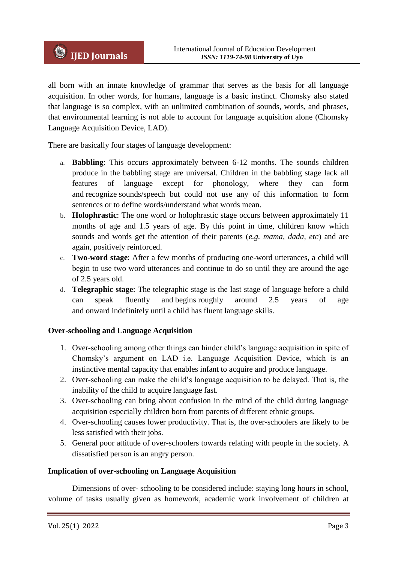all born with an innate knowledge of grammar that serves as the basis for all language acquisition. In other words, for humans, language is a basic instinct. Chomsky also stated that language is so complex, with an unlimited combination of sounds, words, and phrases, that environmental learning is not able to account for language acquisition alone (Chomsky Language Acquisition Device, LAD).

There are basically four stages of language development:

- a. **Babbling**: This occurs approximately between 6-12 months. The sounds children produce in the babbling stage are universal. Children in the babbling stage lack all features of language except for phonology, where they can form and recognize sounds/speech but could not use any of this information to form sentences or to define words/understand what words mean.
- b. **Holophrastic**: The one word or holophrastic stage occurs between approximately 11 months of age and 1.5 years of age. By this point in time, children know which sounds and words get the attention of their parents (*e.g. mama, dada, etc*) and are again, positively reinforced.
- c. **Two-word stage**: After a few months of producing one-word utterances, a child will begin to use two word utterances and continue to do so until they are around the age of 2.5 years old.
- d. **Telegraphic stage**: The telegraphic stage is the last stage of language before a child can speak fluently and begins roughly around 2.5 years of age and onward indefinitely until a child has fluent language skills.

# **Over-schooling and Language Acquisition**

- 1. Over-schooling among other things can hinder child"s language acquisition in spite of Chomsky"s argument on LAD i.e. Language Acquisition Device, which is an instinctive mental capacity that enables infant to acquire and produce language.
- 2. Over-schooling can make the child"s language acquisition to be delayed. That is, the inability of the child to acquire language fast.
- 3. Over-schooling can bring about confusion in the mind of the child during language acquisition especially children born from parents of different ethnic groups.
- 4. Over-schooling causes lower productivity. That is, the over-schoolers are likely to be less satisfied with their jobs.
- 5. General poor attitude of over-schoolers towards relating with people in the society. A dissatisfied person is an angry person.

## **Implication of over-schooling on Language Acquisition**

Dimensions of over- schooling to be considered include: staying long hours in school, volume of tasks usually given as homework, academic work involvement of children at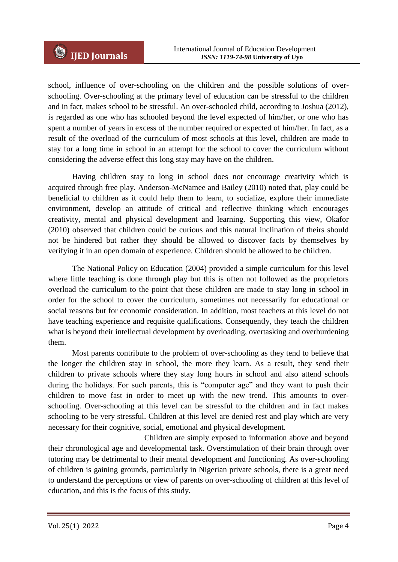school, influence of over-schooling on the children and the possible solutions of overschooling. Over-schooling at the primary level of education can be stressful to the children and in fact, makes school to be stressful. An over-schooled child, according to Joshua (2012), is regarded as one who has schooled beyond the level expected of him/her, or one who has spent a number of years in excess of the number required or expected of him/her. In fact, as a result of the overload of the curriculum of most schools at this level, children are made to stay for a long time in school in an attempt for the school to cover the curriculum without considering the adverse effect this long stay may have on the children.

Having children stay to long in school does not encourage creativity which is acquired through free play. Anderson-McNamee and Bailey (2010) noted that, play could be beneficial to children as it could help them to learn, to socialize, explore their immediate environment, develop an attitude of critical and reflective thinking which encourages creativity, mental and physical development and learning. Supporting this view, Okafor (2010) observed that children could be curious and this natural inclination of theirs should not be hindered but rather they should be allowed to discover facts by themselves by verifying it in an open domain of experience. Children should be allowed to be children.

The National Policy on Education (2004) provided a simple curriculum for this level where little teaching is done through play but this is often not followed as the proprietors overload the curriculum to the point that these children are made to stay long in school in order for the school to cover the curriculum, sometimes not necessarily for educational or social reasons but for economic consideration. In addition, most teachers at this level do not have teaching experience and requisite qualifications. Consequently, they teach the children what is beyond their intellectual development by overloading, overtasking and overburdening them.

Most parents contribute to the problem of over-schooling as they tend to believe that the longer the children stay in school, the more they learn. As a result, they send their children to private schools where they stay long hours in school and also attend schools during the holidays. For such parents, this is "computer age" and they want to push their children to move fast in order to meet up with the new trend. This amounts to overschooling. Over-schooling at this level can be stressful to the children and in fact makes schooling to be very stressful. Children at this level are denied rest and play which are very necessary for their cognitive, social, emotional and physical development.

Children are simply exposed to information above and beyond their chronological age and developmental task. Overstimulation of their brain through over tutoring may be detrimental to their mental development and functioning. As over-schooling of children is gaining grounds, particularly in Nigerian private schools, there is a great need to understand the perceptions or view of parents on over-schooling of children at this level of education, and this is the focus of this study.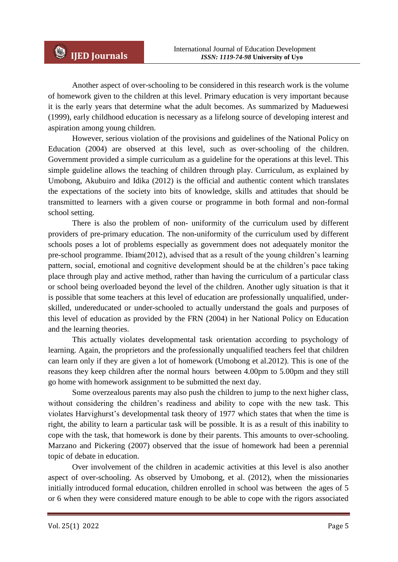Another aspect of over-schooling to be considered in this research work is the volume of homework given to the children at this level. Primary education is very important because it is the early years that determine what the adult becomes. As summarized by Maduewesi (1999), early childhood education is necessary as a lifelong source of developing interest and aspiration among young children.

However, serious violation of the provisions and guidelines of the National Policy on Education (2004) are observed at this level, such as over-schooling of the children. Government provided a simple curriculum as a guideline for the operations at this level. This simple guideline allows the teaching of children through play. Curriculum, as explained by Umobong, Akubuiro and Idika (2012) is the official and authentic content which translates the expectations of the society into bits of knowledge, skills and attitudes that should be transmitted to learners with a given course or programme in both formal and non-formal school setting.

There is also the problem of non- uniformity of the curriculum used by different providers of pre-primary education. The non-uniformity of the curriculum used by different schools poses a lot of problems especially as government does not adequately monitor the pre-school programme. Ibiam(2012), advised that as a result of the young children"s learning pattern, social, emotional and cognitive development should be at the children"s pace taking place through play and active method, rather than having the curriculum of a particular class or school being overloaded beyond the level of the children. Another ugly situation is that it is possible that some teachers at this level of education are professionally unqualified, underskilled, undereducated or under-schooled to actually understand the goals and purposes of this level of education as provided by the FRN (2004) in her National Policy on Education and the learning theories.

This actually violates developmental task orientation according to psychology of learning. Again, the proprietors and the professionally unqualified teachers feel that children can learn only if they are given a lot of homework (Umobong et al.2012). This is one of the reasons they keep children after the normal hours between 4.00pm to 5.00pm and they still go home with homework assignment to be submitted the next day.

Some overzealous parents may also push the children to jump to the next higher class, without considering the children"s readiness and ability to cope with the new task. This violates Harvighurst"s developmental task theory of 1977 which states that when the time is right, the ability to learn a particular task will be possible. It is as a result of this inability to cope with the task, that homework is done by their parents. This amounts to over-schooling. Marzano and Pickering (2007) observed that the issue of homework had been a perennial topic of debate in education.

Over involvement of the children in academic activities at this level is also another aspect of over-schooling. As observed by Umobong, et al. (2012), when the missionaries initially introduced formal education, children enrolled in school was between the ages of 5 or 6 when they were considered mature enough to be able to cope with the rigors associated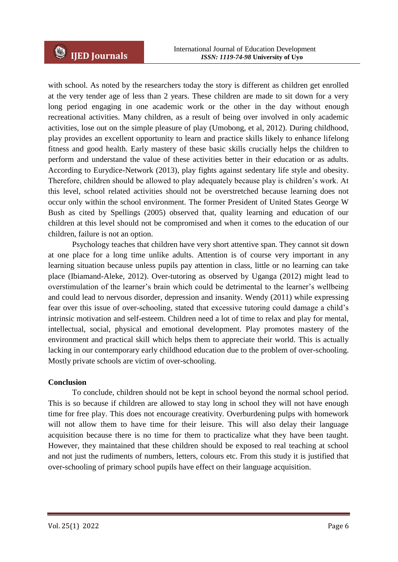with school. As noted by the researchers today the story is different as children get enrolled at the very tender age of less than 2 years. These children are made to sit down for a very long period engaging in one academic work or the other in the day without enough recreational activities. Many children, as a result of being over involved in only academic activities, lose out on the simple pleasure of play (Umobong, et al, 2012). During childhood, play provides an excellent opportunity to learn and practice skills likely to enhance lifelong fitness and good health. Early mastery of these basic skills crucially helps the children to perform and understand the value of these activities better in their education or as adults. According to Eurydice-Network (2013), play fights against sedentary life style and obesity. Therefore, children should be allowed to play adequately because play is children"s work. At this level, school related activities should not be overstretched because learning does not occur only within the school environment. The former President of United States George W Bush as cited by Spellings (2005) observed that, quality learning and education of our children at this level should not be compromised and when it comes to the education of our children, failure is not an option.

Psychology teaches that children have very short attentive span. They cannot sit down at one place for a long time unlike adults. Attention is of course very important in any learning situation because unless pupils pay attention in class, little or no learning can take place (Ibiamand-Aleke, 2012). Over-tutoring as observed by Uganga (2012) might lead to overstimulation of the learner's brain which could be detrimental to the learner's wellbeing and could lead to nervous disorder, depression and insanity. Wendy (2011) while expressing fear over this issue of over-schooling, stated that excessive tutoring could damage a child"s intrinsic motivation and self-esteem. Children need a lot of time to relax and play for mental, intellectual, social, physical and emotional development. Play promotes mastery of the environment and practical skill which helps them to appreciate their world. This is actually lacking in our contemporary early childhood education due to the problem of over-schooling. Mostly private schools are victim of over-schooling.

## **Conclusion**

To conclude, children should not be kept in school beyond the normal school period. This is so because if children are allowed to stay long in school they will not have enough time for free play. This does not encourage creativity. Overburdening pulps with homework will not allow them to have time for their leisure. This will also delay their language acquisition because there is no time for them to practicalize what they have been taught. However, they maintained that these children should be exposed to real teaching at school and not just the rudiments of numbers, letters, colours etc. From this study it is justified that over-schooling of primary school pupils have effect on their language acquisition.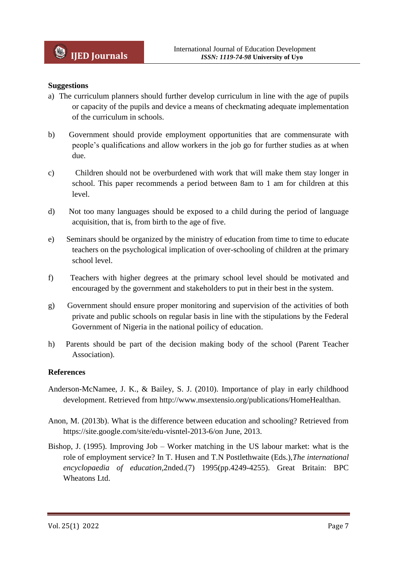## **Suggestions**

- a) The curriculum planners should further develop curriculum in line with the age of pupils or capacity of the pupils and device a means of checkmating adequate implementation of the curriculum in schools.
- b) Government should provide employment opportunities that are commensurate with people"s qualifications and allow workers in the job go for further studies as at when due.
- c) Children should not be overburdened with work that will make them stay longer in school. This paper recommends a period between 8am to 1 am for children at this level.
- d) Not too many languages should be exposed to a child during the period of language acquisition, that is, from birth to the age of five.
- e) Seminars should be organized by the ministry of education from time to time to educate teachers on the psychological implication of over-schooling of children at the primary school level.
- f) Teachers with higher degrees at the primary school level should be motivated and encouraged by the government and stakeholders to put in their best in the system.
- g) Government should ensure proper monitoring and supervision of the activities of both private and public schools on regular basis in line with the stipulations by the Federal Government of Nigeria in the national poilicy of education.
- h) Parents should be part of the decision making body of the school (Parent Teacher Association).

## **References**

- Anderson-McNamee, J. K., & Bailey, S. J. (2010). Importance of play in early childhood development. Retrieved from http://www.msextensio.org/publications/HomeHealthan.
- Anon, M. (2013b). What is the difference between education and schooling? Retrieved from https://site.google.com/site/edu-visntel-2013-6/on June, 2013.
- Bishop, J. (1995). Improving Job Worker matching in the US labour market: what is the role of employment service? In T. Husen and T.N Postlethwaite (Eds.),*The international encyclopaedia of education,*2nded.(7) 1995(pp.4249-4255). Great Britain: BPC Wheatons Ltd.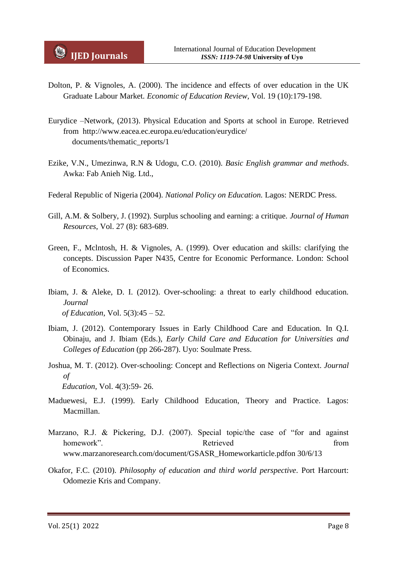- Dolton, P. & Vignoles, A. (2000). The incidence and effects of over education in the UK Graduate Labour Market. *Economic of Education Review,* Vol. 19 (10):179-198.
- Eurydice –Network, (2013). Physical Education and Sports at school in Europe. Retrieved from http://www.eacea.ec.europa.eu/education/eurydice/ documents/thematic\_reports/1
- Ezike, V.N., Umezinwa, R.N & Udogu, C.O. (2010). *Basic English grammar and methods*. Awka: Fab Anieh Nig. Ltd.,
- Federal Republic of Nigeria (2004). *National Policy on Education.* Lagos: NERDC Press.
- Gill, A.M. & Solbery, J. (1992). Surplus schooling and earning: a critique. *Journal of Human Resources*, Vol. 27 (8): 683-689.
- Green, F., Mclntosh, H. & Vignoles, A. (1999). Over education and skills: clarifying the concepts. Discussion Paper N435, Centre for Economic Performance. London: School of Economics.
- Ibiam, J. & Aleke, D. I. (2012). Over-schooling: a threat to early childhood education*. Journal of Education*, Vol. 5(3):45 – 52.
- Ibiam, J. (2012). Contemporary Issues in Early Childhood Care and Education. In Q.I. Obinaju, and J. Ibiam (Eds.), *Early Child Care and Education for Universities and Colleges of Education* (pp 266-287). Uyo: Soulmate Press.
- Joshua, M. T. (2012). Over-schooling: Concept and Reflections on Nigeria Context. *Journal of Education*, Vol. 4(3):59- 26.
- Maduewesi, E.J. (1999). Early Childhood Education, Theory and Practice. Lagos: Macmillan.
- Marzano, R.J. & Pickering, D.J. (2007). Special topic/the case of "for and against homework" Retrieved Retrieved from www.marzanoresearch.com/document/GSASR\_Homeworkarticle.pdfon 30/6/13
- Okafor, F.C. (2010). *Philosophy of education and third world perspective*. Port Harcourt: Odomezie Kris and Company.